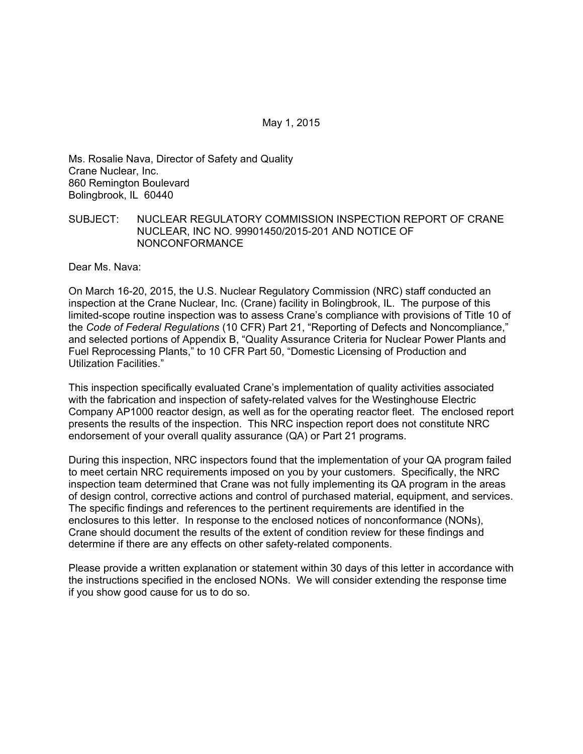Ms. Rosalie Nava, Director of Safety and Quality Crane Nuclear, Inc. 860 Remington Boulevard Bolingbrook, IL 60440

#### SUBJECT: NUCLEAR REGULATORY COMMISSION INSPECTION REPORT OF CRANE NUCLEAR, INC NO. 99901450/2015-201 AND NOTICE OF NONCONFORMANCE

Dear Ms. Nava:

On March 16-20, 2015, the U.S. Nuclear Regulatory Commission (NRC) staff conducted an inspection at the Crane Nuclear, Inc. (Crane) facility in Bolingbrook, IL. The purpose of this limited-scope routine inspection was to assess Crane's compliance with provisions of Title 10 of the *Code of Federal Regulations* (10 CFR) Part 21, "Reporting of Defects and Noncompliance," and selected portions of Appendix B, "Quality Assurance Criteria for Nuclear Power Plants and Fuel Reprocessing Plants," to 10 CFR Part 50, "Domestic Licensing of Production and Utilization Facilities."

This inspection specifically evaluated Crane's implementation of quality activities associated with the fabrication and inspection of safety-related valves for the Westinghouse Electric Company AP1000 reactor design, as well as for the operating reactor fleet. The enclosed report presents the results of the inspection. This NRC inspection report does not constitute NRC endorsement of your overall quality assurance (QA) or Part 21 programs.

During this inspection, NRC inspectors found that the implementation of your QA program failed to meet certain NRC requirements imposed on you by your customers. Specifically, the NRC inspection team determined that Crane was not fully implementing its QA program in the areas of design control, corrective actions and control of purchased material, equipment, and services. The specific findings and references to the pertinent requirements are identified in the enclosures to this letter. In response to the enclosed notices of nonconformance (NONs), Crane should document the results of the extent of condition review for these findings and determine if there are any effects on other safety-related components.

Please provide a written explanation or statement within 30 days of this letter in accordance with the instructions specified in the enclosed NONs. We will consider extending the response time if you show good cause for us to do so.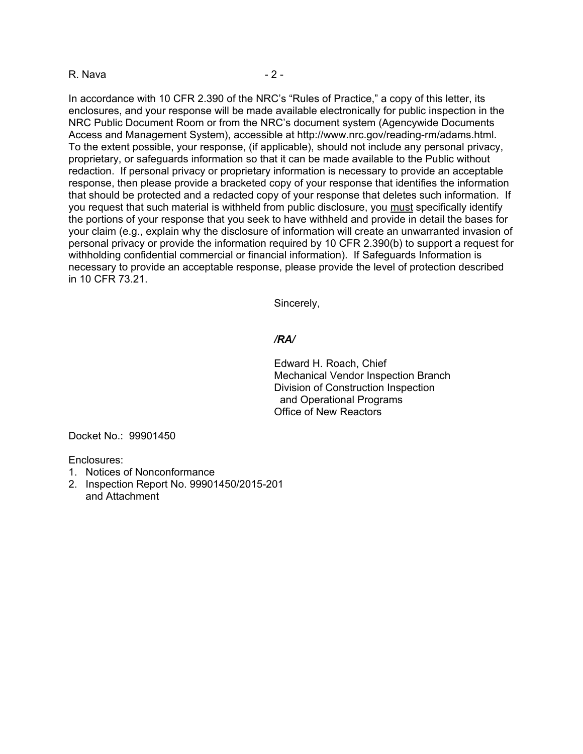#### R. Nava - 2 -

In accordance with 10 CFR 2.390 of the NRC's "Rules of Practice," a copy of this letter, its enclosures, and your response will be made available electronically for public inspection in the NRC Public Document Room or from the NRC's document system (Agencywide Documents Access and Management System), accessible at http://www.nrc.gov/reading-rm/adams.html. To the extent possible, your response, (if applicable), should not include any personal privacy, proprietary, or safeguards information so that it can be made available to the Public without redaction. If personal privacy or proprietary information is necessary to provide an acceptable response, then please provide a bracketed copy of your response that identifies the information that should be protected and a redacted copy of your response that deletes such information. If you request that such material is withheld from public disclosure, you must specifically identify the portions of your response that you seek to have withheld and provide in detail the bases for your claim (e.g., explain why the disclosure of information will create an unwarranted invasion of personal privacy or provide the information required by 10 CFR 2.390(b) to support a request for withholding confidential commercial or financial information). If Safeguards Information is necessary to provide an acceptable response, please provide the level of protection described in 10 CFR 73.21.

Sincerely,

#### */RA/*

Edward H. Roach, Chief Mechanical Vendor Inspection Branch Division of Construction Inspection and Operational Programs Office of New Reactors

Docket No.: 99901450

Enclosures:

- 1. Notices of Nonconformance
- 2. Inspection Report No. 99901450/2015-201 and Attachment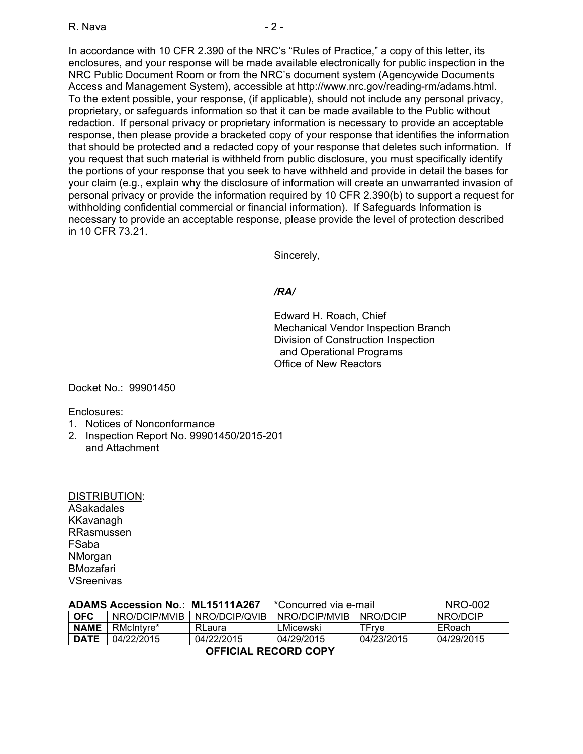In accordance with 10 CFR 2.390 of the NRC's "Rules of Practice," a copy of this letter, its enclosures, and your response will be made available electronically for public inspection in the NRC Public Document Room or from the NRC's document system (Agencywide Documents Access and Management System), accessible at http://www.nrc.gov/reading-rm/adams.html. To the extent possible, your response, (if applicable), should not include any personal privacy, proprietary, or safeguards information so that it can be made available to the Public without redaction. If personal privacy or proprietary information is necessary to provide an acceptable response, then please provide a bracketed copy of your response that identifies the information that should be protected and a redacted copy of your response that deletes such information. If you request that such material is withheld from public disclosure, you must specifically identify the portions of your response that you seek to have withheld and provide in detail the bases for your claim (e.g., explain why the disclosure of information will create an unwarranted invasion of personal privacy or provide the information required by 10 CFR 2.390(b) to support a request for withholding confidential commercial or financial information). If Safeguards Information is necessary to provide an acceptable response, please provide the level of protection described in 10 CFR 73.21.

Sincerely,

# */RA/*

Edward H. Roach, Chief Mechanical Vendor Inspection Branch Division of Construction Inspection and Operational Programs Office of New Reactors

Docket No.: 99901450

Enclosures:

- 1. Notices of Nonconformance
- 2. Inspection Report No. 99901450/2015-201 and Attachment

| <b>DISTRIBUTION:</b> |
|----------------------|
| ASakadales           |
| KKavanagh            |
| RRasmussen           |
| FSaba                |
| NMorgan              |
| BMozafari            |
| <b>VSreenivas</b>    |

| <b>ADAMS Accession No.: ML15111A267</b> |               |               | *Concurred via e-mail |            | NRO-002       |
|-----------------------------------------|---------------|---------------|-----------------------|------------|---------------|
| <b>OFC</b>                              | NRO/DCIP/MVIB | NRO/DCIP/QVIB | NRO/DCIP/MVIB         | NRO/DCIP   | NRO/DCIP      |
| <b>NAME</b>                             | RMcIntyre*    | <b>RLaura</b> | LMicewski             | TFrve      | <b>ERoach</b> |
| <b>DATE</b>                             | 04/22/2015    | 04/22/2015    | 04/29/2015            | 04/23/2015 | 04/29/2015    |
| AFFIAILL BEARDD AADV                    |               |               |                       |            |               |

**OFFICIAL RECORD COPY**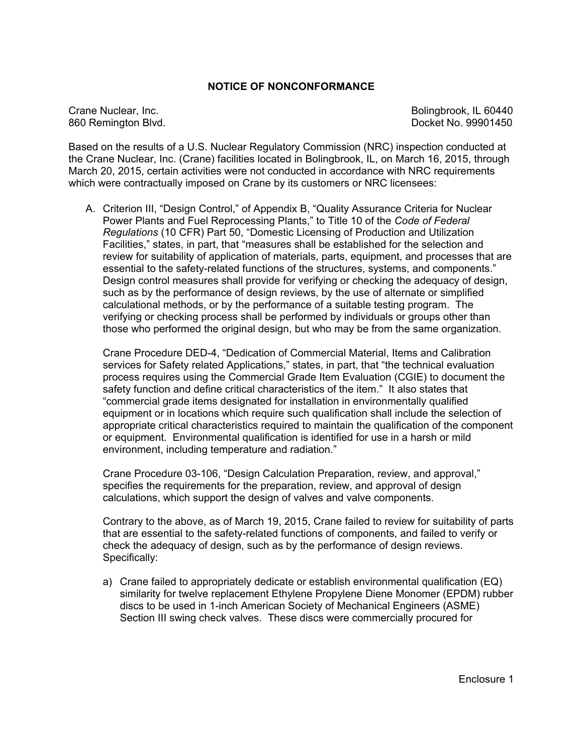#### **NOTICE OF NONCONFORMANCE**

Crane Nuclear, Inc. **Bolingbrook**, IL 60440 860 Remington Blvd. **Blue Contract Contract Contract Contract Contract Contract Contract Contract Contract Contract Contract Contract Contract Contract Contract Contract Contract Contract Contract Contract Contract Contrac** 

Based on the results of a U.S. Nuclear Regulatory Commission (NRC) inspection conducted at the Crane Nuclear, Inc. (Crane) facilities located in Bolingbrook, IL, on March 16, 2015, through March 20, 2015, certain activities were not conducted in accordance with NRC requirements which were contractually imposed on Crane by its customers or NRC licensees:

A. Criterion III, "Design Control," of Appendix B, "Quality Assurance Criteria for Nuclear Power Plants and Fuel Reprocessing Plants," to Title 10 of the *Code of Federal Regulations* (10 CFR) Part 50, "Domestic Licensing of Production and Utilization Facilities," states, in part, that "measures shall be established for the selection and review for suitability of application of materials, parts, equipment, and processes that are essential to the safety-related functions of the structures, systems, and components." Design control measures shall provide for verifying or checking the adequacy of design, such as by the performance of design reviews, by the use of alternate or simplified calculational methods, or by the performance of a suitable testing program. The verifying or checking process shall be performed by individuals or groups other than those who performed the original design, but who may be from the same organization.

Crane Procedure DED-4, "Dedication of Commercial Material, Items and Calibration services for Safety related Applications," states, in part, that "the technical evaluation process requires using the Commercial Grade Item Evaluation (CGIE) to document the safety function and define critical characteristics of the item." It also states that "commercial grade items designated for installation in environmentally qualified equipment or in locations which require such qualification shall include the selection of appropriate critical characteristics required to maintain the qualification of the component or equipment. Environmental qualification is identified for use in a harsh or mild environment, including temperature and radiation."

Crane Procedure 03-106, "Design Calculation Preparation, review, and approval," specifies the requirements for the preparation, review, and approval of design calculations, which support the design of valves and valve components.

Contrary to the above, as of March 19, 2015, Crane failed to review for suitability of parts that are essential to the safety-related functions of components, and failed to verify or check the adequacy of design, such as by the performance of design reviews. Specifically:

a) Crane failed to appropriately dedicate or establish environmental qualification (EQ) similarity for twelve replacement Ethylene Propylene Diene Monomer (EPDM) rubber discs to be used in 1-inch American Society of Mechanical Engineers (ASME) Section III swing check valves. These discs were commercially procured for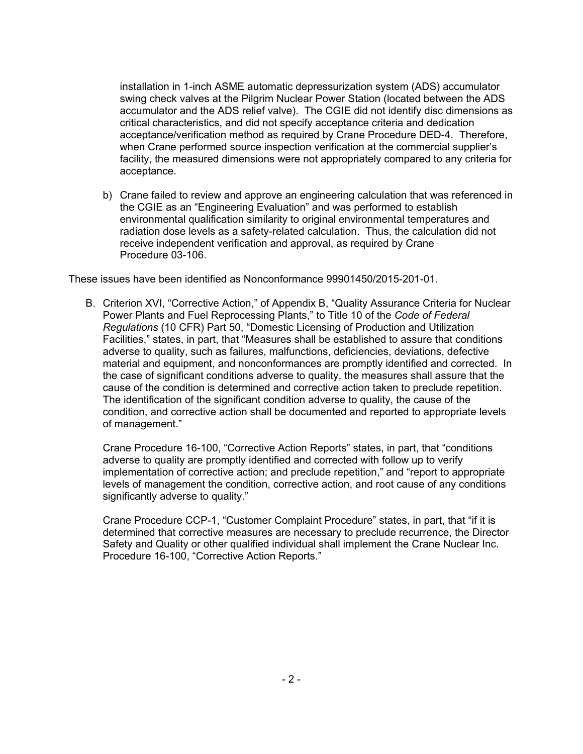installation in 1-inch ASME automatic depressurization system (ADS) accumulator swing check valves at the Pilgrim Nuclear Power Station (located between the ADS accumulator and the ADS relief valve). The CGIE did not identify disc dimensions as critical characteristics, and did not specify acceptance criteria and dedication acceptance/verification method as required by Crane Procedure DED-4. Therefore, when Crane performed source inspection verification at the commercial supplier's facility, the measured dimensions were not appropriately compared to any criteria for acceptance.

b) Crane failed to review and approve an engineering calculation that was referenced in the CGIE as an "Engineering Evaluation" and was performed to establish environmental qualification similarity to original environmental temperatures and radiation dose levels as a safety-related calculation. Thus, the calculation did not receive independent verification and approval, as required by Crane Procedure 03-106.

These issues have been identified as Nonconformance 99901450/2015-201-01.

B. Criterion XVI, "Corrective Action," of Appendix B, "Quality Assurance Criteria for Nuclear Power Plants and Fuel Reprocessing Plants," to Title 10 of the *Code of Federal Regulations* (10 CFR) Part 50, "Domestic Licensing of Production and Utilization Facilities," states, in part, that "Measures shall be established to assure that conditions adverse to quality, such as failures, malfunctions, deficiencies, deviations, defective material and equipment, and nonconformances are promptly identified and corrected. In the case of significant conditions adverse to quality, the measures shall assure that the cause of the condition is determined and corrective action taken to preclude repetition. The identification of the significant condition adverse to quality, the cause of the condition, and corrective action shall be documented and reported to appropriate levels of management."

Crane Procedure 16-100, "Corrective Action Reports" states, in part, that "conditions adverse to quality are promptly identified and corrected with follow up to verify implementation of corrective action; and preclude repetition," and "report to appropriate levels of management the condition, corrective action, and root cause of any conditions significantly adverse to quality."

Crane Procedure CCP-1, "Customer Complaint Procedure" states, in part, that "if it is determined that corrective measures are necessary to preclude recurrence, the Director Safety and Quality or other qualified individual shall implement the Crane Nuclear Inc. Procedure 16-100, "Corrective Action Reports."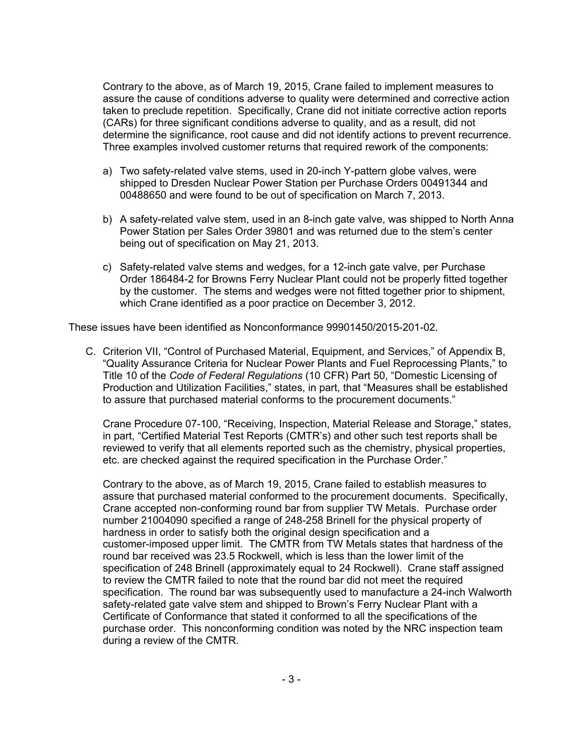Contrary to the above, as of March 19, 2015, Crane failed to implement measures to assure the cause of conditions adverse to quality were determined and corrective action taken to preclude repetition. Specifically, Crane did not initiate corrective action reports (CARs) for three significant conditions adverse to quality, and as a result, did not determine the significance, root cause and did not identify actions to prevent recurrence. Three examples involved customer returns that required rework of the components:

- a) Two safety-related valve stems, used in 20-inch Y-pattern globe valves, were shipped to Dresden Nuclear Power Station per Purchase Orders 00491344 and 00488650 and were found to be out of specification on March 7, 2013.
- b) A safety-related valve stem, used in an 8-inch gate valve, was shipped to North Anna Power Station per Sales Order 39801 and was returned due to the stem's center being out of specification on May 21, 2013.
- c) Safety-related valve stems and wedges, for a 12-inch gate valve, per Purchase Order 186484-2 for Browns Ferry Nuclear Plant could not be properly fitted together by the customer. The stems and wedges were not fitted together prior to shipment, which Crane identified as a poor practice on December 3, 2012.

These issues have been identified as Nonconformance 99901450/2015-201-02.

C. Criterion VII, "Control of Purchased Material, Equipment, and Services," of Appendix B, "Quality Assurance Criteria for Nuclear Power Plants and Fuel Reprocessing Plants," to Title 10 of the *Code of Federal Regulations* (10 CFR) Part 50, "Domestic Licensing of Production and Utilization Facilities," states, in part, that "Measures shall be established to assure that purchased material conforms to the procurement documents."

Crane Procedure 07-100, "Receiving, Inspection, Material Release and Storage," states, in part, "Certified Material Test Reports (CMTR's) and other such test reports shall be reviewed to verify that all elements reported such as the chemistry, physical properties, etc. are checked against the required specification in the Purchase Order."

Contrary to the above, as of March 19, 2015, Crane failed to establish measures to assure that purchased material conformed to the procurement documents. Specifically, Crane accepted non-conforming round bar from supplier TW Metals. Purchase order number 21004090 specified a range of 248-258 Brinell for the physical property of hardness in order to satisfy both the original design specification and a customer-imposed upper limit. The CMTR from TW Metals states that hardness of the round bar received was 23.5 Rockwell, which is less than the lower limit of the specification of 248 Brinell (approximately equal to 24 Rockwell). Crane staff assigned to review the CMTR failed to note that the round bar did not meet the required specification. The round bar was subsequently used to manufacture a 24-inch Walworth safety-related gate valve stem and shipped to Brown's Ferry Nuclear Plant with a Certificate of Conformance that stated it conformed to all the specifications of the purchase order. This nonconforming condition was noted by the NRC inspection team during a review of the CMTR.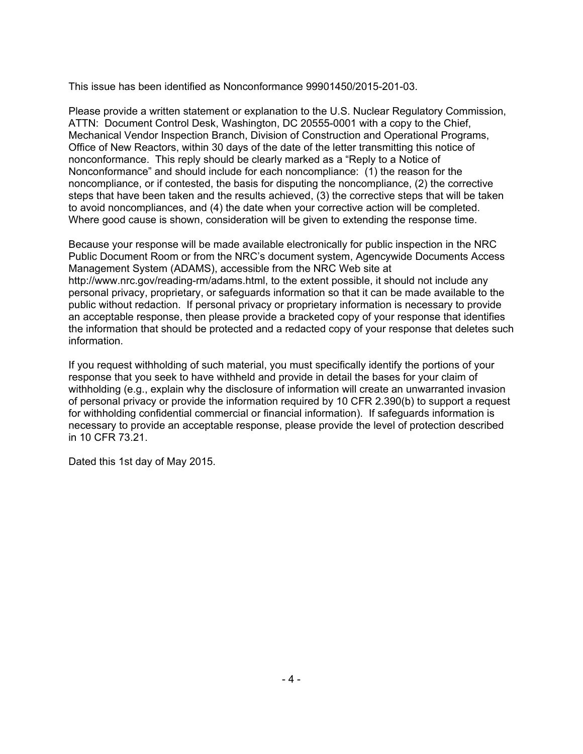This issue has been identified as Nonconformance 99901450/2015-201-03.

Please provide a written statement or explanation to the U.S. Nuclear Regulatory Commission, ATTN: Document Control Desk, Washington, DC 20555-0001 with a copy to the Chief, Mechanical Vendor Inspection Branch, Division of Construction and Operational Programs, Office of New Reactors, within 30 days of the date of the letter transmitting this notice of nonconformance. This reply should be clearly marked as a "Reply to a Notice of Nonconformance" and should include for each noncompliance: (1) the reason for the noncompliance, or if contested, the basis for disputing the noncompliance, (2) the corrective steps that have been taken and the results achieved, (3) the corrective steps that will be taken to avoid noncompliances, and (4) the date when your corrective action will be completed. Where good cause is shown, consideration will be given to extending the response time.

Because your response will be made available electronically for public inspection in the NRC Public Document Room or from the NRC's document system, Agencywide Documents Access Management System (ADAMS), accessible from the NRC Web site at http://www.nrc.gov/reading-rm/adams.html, to the extent possible, it should not include any personal privacy, proprietary, or safeguards information so that it can be made available to the public without redaction. If personal privacy or proprietary information is necessary to provide an acceptable response, then please provide a bracketed copy of your response that identifies the information that should be protected and a redacted copy of your response that deletes such information.

If you request withholding of such material, you must specifically identify the portions of your response that you seek to have withheld and provide in detail the bases for your claim of withholding (e.g., explain why the disclosure of information will create an unwarranted invasion of personal privacy or provide the information required by 10 CFR 2.390(b) to support a request for withholding confidential commercial or financial information). If safeguards information is necessary to provide an acceptable response, please provide the level of protection described in 10 CFR 73.21.

Dated this 1st day of May 2015.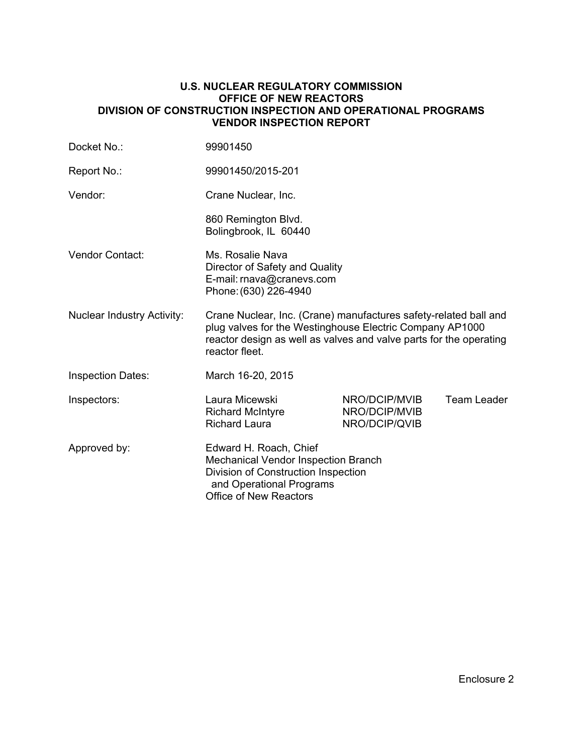#### **U.S. NUCLEAR REGULATORY COMMISSION OFFICE OF NEW REACTORS DIVISION OF CONSTRUCTION INSPECTION AND OPERATIONAL PROGRAMS VENDOR INSPECTION REPORT**

| Docket No.:                       | 99901450                                                                                                                                                                                                             |                                                 |             |
|-----------------------------------|----------------------------------------------------------------------------------------------------------------------------------------------------------------------------------------------------------------------|-------------------------------------------------|-------------|
| Report No.:                       | 99901450/2015-201                                                                                                                                                                                                    |                                                 |             |
| Vendor:                           | Crane Nuclear, Inc.                                                                                                                                                                                                  |                                                 |             |
|                                   | 860 Remington Blvd.<br>Bolingbrook, IL 60440                                                                                                                                                                         |                                                 |             |
| Vendor Contact:                   | Ms. Rosalie Nava<br>Director of Safety and Quality<br>E-mail: rnava@cranevs.com<br>Phone: (630) 226-4940                                                                                                             |                                                 |             |
| <b>Nuclear Industry Activity:</b> | Crane Nuclear, Inc. (Crane) manufactures safety-related ball and<br>plug valves for the Westinghouse Electric Company AP1000<br>reactor design as well as valves and valve parts for the operating<br>reactor fleet. |                                                 |             |
| <b>Inspection Dates:</b>          | March 16-20, 2015                                                                                                                                                                                                    |                                                 |             |
| Inspectors:                       | Laura Micewski<br><b>Richard McIntyre</b><br><b>Richard Laura</b>                                                                                                                                                    | NRO/DCIP/MVIB<br>NRO/DCIP/MVIB<br>NRO/DCIP/QVIB | Team Leader |
| Approved by:                      | Edward H. Roach, Chief<br><b>Mechanical Vendor Inspection Branch</b><br>Division of Construction Inspection<br>and Operational Programs<br><b>Office of New Reactors</b>                                             |                                                 |             |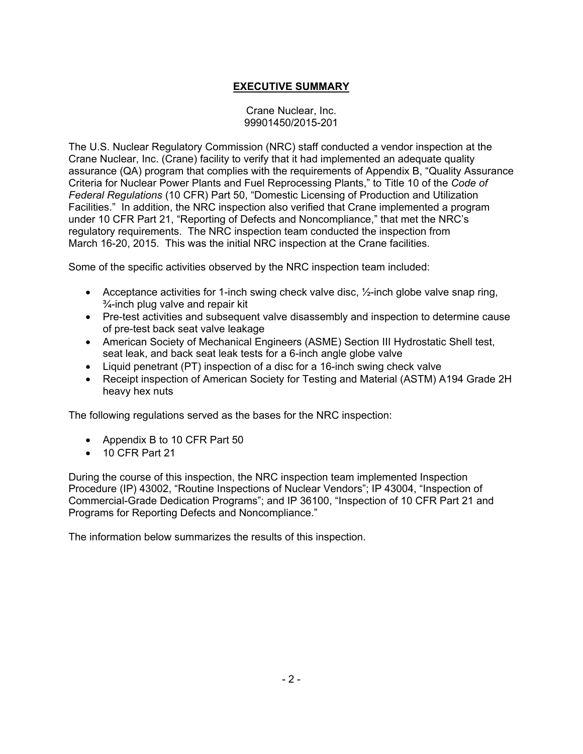# **EXECUTIVE SUMMARY**

#### Crane Nuclear, Inc. 99901450/2015-201

The U.S. Nuclear Regulatory Commission (NRC) staff conducted a vendor inspection at the Crane Nuclear, Inc. (Crane) facility to verify that it had implemented an adequate quality assurance (QA) program that complies with the requirements of Appendix B, "Quality Assurance Criteria for Nuclear Power Plants and Fuel Reprocessing Plants," to Title 10 of the *Code of Federal Regulations* (10 CFR) Part 50, "Domestic Licensing of Production and Utilization Facilities." In addition, the NRC inspection also verified that Crane implemented a program under 10 CFR Part 21, "Reporting of Defects and Noncompliance," that met the NRC's regulatory requirements. The NRC inspection team conducted the inspection from March 16-20, 2015. This was the initial NRC inspection at the Crane facilities.

Some of the specific activities observed by the NRC inspection team included:

- Acceptance activities for 1-inch swing check valve disc,  $\frac{1}{2}$ -inch globe valve snap ring, ¾-inch plug valve and repair kit
- Pre-test activities and subsequent valve disassembly and inspection to determine cause of pre-test back seat valve leakage
- American Society of Mechanical Engineers (ASME) Section III Hydrostatic Shell test, seat leak, and back seat leak tests for a 6-inch angle globe valve
- Liquid penetrant (PT) inspection of a disc for a 16-inch swing check valve
- Receipt inspection of American Society for Testing and Material (ASTM) A194 Grade 2H heavy hex nuts

The following regulations served as the bases for the NRC inspection:

- Appendix B to 10 CFR Part 50
- 10 CFR Part 21

During the course of this inspection, the NRC inspection team implemented Inspection Procedure (IP) 43002, "Routine Inspections of Nuclear Vendors"; IP 43004, "Inspection of Commercial-Grade Dedication Programs"; and IP 36100, "Inspection of 10 CFR Part 21 and Programs for Reporting Defects and Noncompliance."

The information below summarizes the results of this inspection.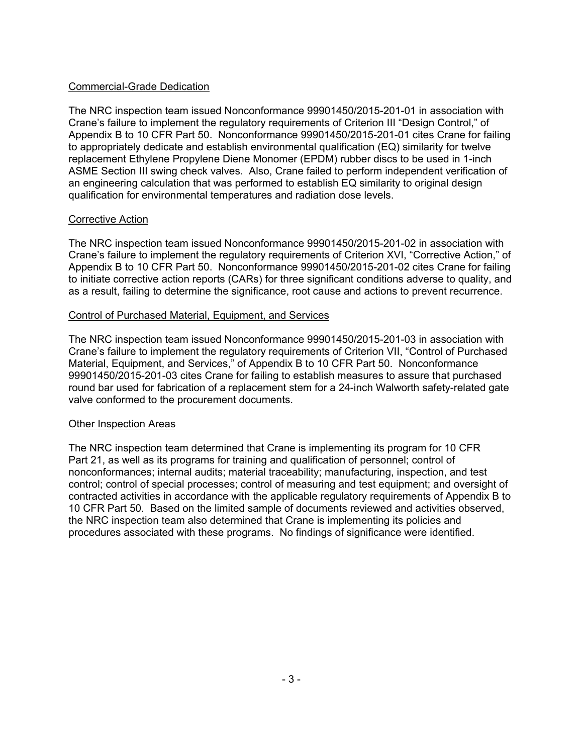# Commercial-Grade Dedication

The NRC inspection team issued Nonconformance 99901450/2015-201-01 in association with Crane's failure to implement the regulatory requirements of Criterion III "Design Control," of Appendix B to 10 CFR Part 50. Nonconformance 99901450/2015-201-01 cites Crane for failing to appropriately dedicate and establish environmental qualification (EQ) similarity for twelve replacement Ethylene Propylene Diene Monomer (EPDM) rubber discs to be used in 1-inch ASME Section III swing check valves. Also, Crane failed to perform independent verification of an engineering calculation that was performed to establish EQ similarity to original design qualification for environmental temperatures and radiation dose levels.

# Corrective Action

The NRC inspection team issued Nonconformance 99901450/2015-201-02 in association with Crane's failure to implement the regulatory requirements of Criterion XVI, "Corrective Action," of Appendix B to 10 CFR Part 50. Nonconformance 99901450/2015-201-02 cites Crane for failing to initiate corrective action reports (CARs) for three significant conditions adverse to quality, and as a result, failing to determine the significance, root cause and actions to prevent recurrence.

# Control of Purchased Material, Equipment, and Services

The NRC inspection team issued Nonconformance 99901450/2015-201-03 in association with Crane's failure to implement the regulatory requirements of Criterion VII, "Control of Purchased Material, Equipment, and Services," of Appendix B to 10 CFR Part 50. Nonconformance 99901450/2015-201-03 cites Crane for failing to establish measures to assure that purchased round bar used for fabrication of a replacement stem for a 24-inch Walworth safety-related gate valve conformed to the procurement documents.

# Other Inspection Areas

The NRC inspection team determined that Crane is implementing its program for 10 CFR Part 21, as well as its programs for training and qualification of personnel; control of nonconformances; internal audits; material traceability; manufacturing, inspection, and test control; control of special processes; control of measuring and test equipment; and oversight of contracted activities in accordance with the applicable regulatory requirements of Appendix B to 10 CFR Part 50. Based on the limited sample of documents reviewed and activities observed, the NRC inspection team also determined that Crane is implementing its policies and procedures associated with these programs. No findings of significance were identified.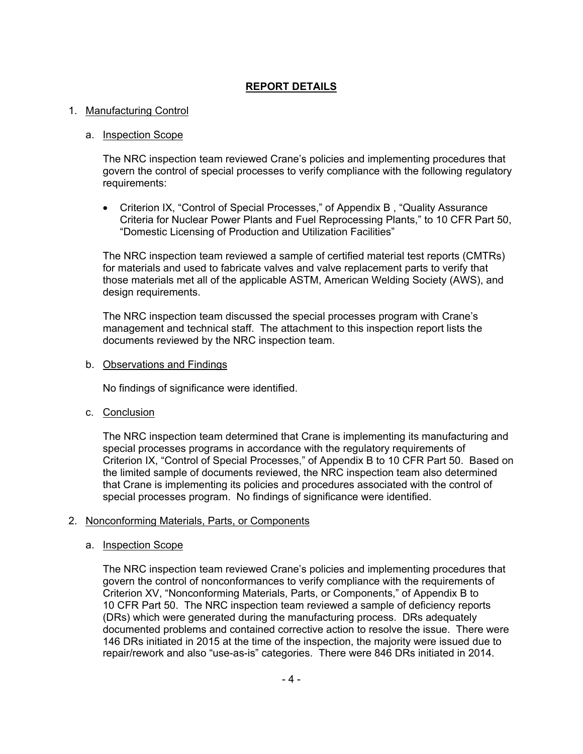# **REPORT DETAILS**

#### 1. Manufacturing Control

#### a. Inspection Scope

The NRC inspection team reviewed Crane's policies and implementing procedures that govern the control of special processes to verify compliance with the following regulatory requirements:

• Criterion IX, "Control of Special Processes," of Appendix B , "Quality Assurance Criteria for Nuclear Power Plants and Fuel Reprocessing Plants," to 10 CFR Part 50, "Domestic Licensing of Production and Utilization Facilities"

The NRC inspection team reviewed a sample of certified material test reports (CMTRs) for materials and used to fabricate valves and valve replacement parts to verify that those materials met all of the applicable ASTM, American Welding Society (AWS), and design requirements.

The NRC inspection team discussed the special processes program with Crane's management and technical staff. The attachment to this inspection report lists the documents reviewed by the NRC inspection team.

#### b. Observations and Findings

No findings of significance were identified.

c. Conclusion

The NRC inspection team determined that Crane is implementing its manufacturing and special processes programs in accordance with the regulatory requirements of Criterion IX, "Control of Special Processes," of Appendix B to 10 CFR Part 50. Based on the limited sample of documents reviewed, the NRC inspection team also determined that Crane is implementing its policies and procedures associated with the control of special processes program. No findings of significance were identified.

#### 2. Nonconforming Materials, Parts, or Components

#### a. **Inspection Scope**

The NRC inspection team reviewed Crane's policies and implementing procedures that govern the control of nonconformances to verify compliance with the requirements of Criterion XV, "Nonconforming Materials, Parts, or Components," of Appendix B to 10 CFR Part 50. The NRC inspection team reviewed a sample of deficiency reports (DRs) which were generated during the manufacturing process. DRs adequately documented problems and contained corrective action to resolve the issue. There were 146 DRs initiated in 2015 at the time of the inspection, the majority were issued due to repair/rework and also "use-as-is" categories. There were 846 DRs initiated in 2014.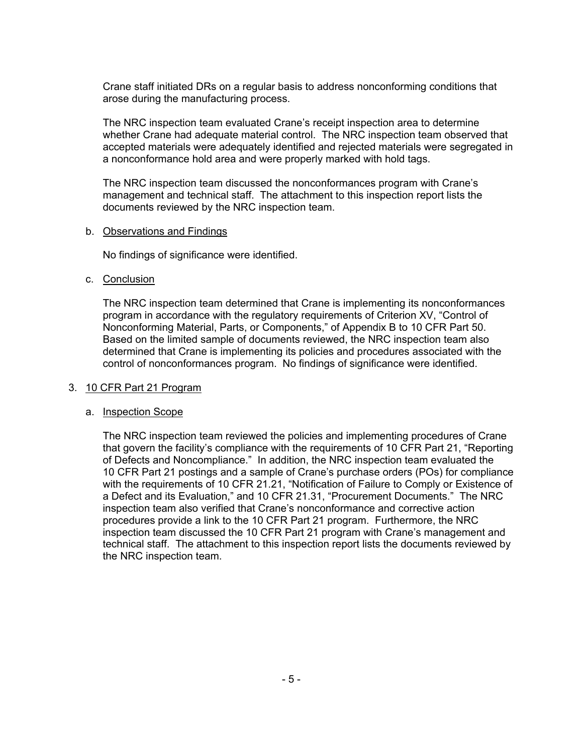Crane staff initiated DRs on a regular basis to address nonconforming conditions that arose during the manufacturing process.

The NRC inspection team evaluated Crane's receipt inspection area to determine whether Crane had adequate material control. The NRC inspection team observed that accepted materials were adequately identified and rejected materials were segregated in a nonconformance hold area and were properly marked with hold tags.

The NRC inspection team discussed the nonconformances program with Crane's management and technical staff. The attachment to this inspection report lists the documents reviewed by the NRC inspection team.

#### b. Observations and Findings

No findings of significance were identified.

#### c. Conclusion

The NRC inspection team determined that Crane is implementing its nonconformances program in accordance with the regulatory requirements of Criterion XV, "Control of Nonconforming Material, Parts, or Components," of Appendix B to 10 CFR Part 50. Based on the limited sample of documents reviewed, the NRC inspection team also determined that Crane is implementing its policies and procedures associated with the control of nonconformances program. No findings of significance were identified.

# 3. 10 CFR Part 21 Program

# a. Inspection Scope

The NRC inspection team reviewed the policies and implementing procedures of Crane that govern the facility's compliance with the requirements of 10 CFR Part 21, "Reporting of Defects and Noncompliance." In addition, the NRC inspection team evaluated the 10 CFR Part 21 postings and a sample of Crane's purchase orders (POs) for compliance with the requirements of 10 CFR 21.21, "Notification of Failure to Comply or Existence of a Defect and its Evaluation," and 10 CFR 21.31, "Procurement Documents." The NRC inspection team also verified that Crane's nonconformance and corrective action procedures provide a link to the 10 CFR Part 21 program. Furthermore, the NRC inspection team discussed the 10 CFR Part 21 program with Crane's management and technical staff. The attachment to this inspection report lists the documents reviewed by the NRC inspection team.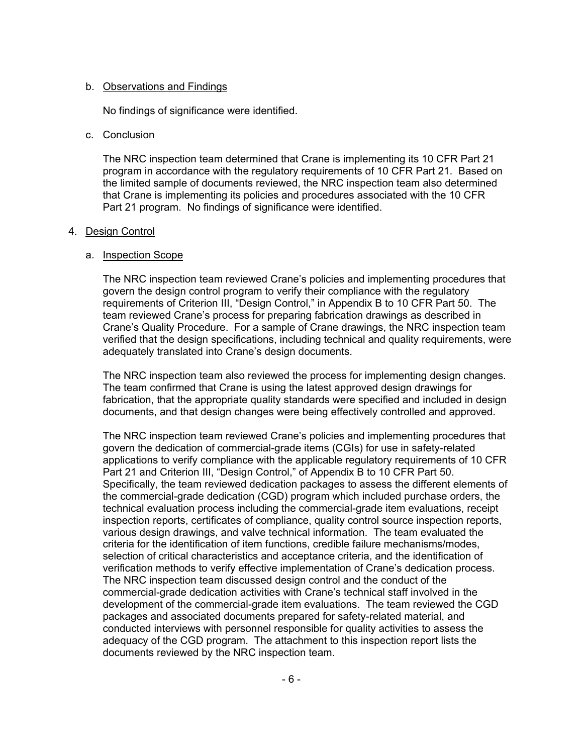#### b. Observations and Findings

No findings of significance were identified.

#### c. Conclusion

The NRC inspection team determined that Crane is implementing its 10 CFR Part 21 program in accordance with the regulatory requirements of 10 CFR Part 21. Based on the limited sample of documents reviewed, the NRC inspection team also determined that Crane is implementing its policies and procedures associated with the 10 CFR Part 21 program. No findings of significance were identified.

#### 4. Design Control

#### a. Inspection Scope

The NRC inspection team reviewed Crane's policies and implementing procedures that govern the design control program to verify their compliance with the regulatory requirements of Criterion III, "Design Control," in Appendix B to 10 CFR Part 50. The team reviewed Crane's process for preparing fabrication drawings as described in Crane's Quality Procedure. For a sample of Crane drawings, the NRC inspection team verified that the design specifications, including technical and quality requirements, were adequately translated into Crane's design documents.

The NRC inspection team also reviewed the process for implementing design changes. The team confirmed that Crane is using the latest approved design drawings for fabrication, that the appropriate quality standards were specified and included in design documents, and that design changes were being effectively controlled and approved.

The NRC inspection team reviewed Crane's policies and implementing procedures that govern the dedication of commercial-grade items (CGIs) for use in safety-related applications to verify compliance with the applicable regulatory requirements of 10 CFR Part 21 and Criterion III, "Design Control," of Appendix B to 10 CFR Part 50. Specifically, the team reviewed dedication packages to assess the different elements of the commercial-grade dedication (CGD) program which included purchase orders, the technical evaluation process including the commercial-grade item evaluations, receipt inspection reports, certificates of compliance, quality control source inspection reports, various design drawings, and valve technical information. The team evaluated the criteria for the identification of item functions, credible failure mechanisms/modes, selection of critical characteristics and acceptance criteria, and the identification of verification methods to verify effective implementation of Crane's dedication process. The NRC inspection team discussed design control and the conduct of the commercial-grade dedication activities with Crane's technical staff involved in the development of the commercial-grade item evaluations. The team reviewed the CGD packages and associated documents prepared for safety-related material, and conducted interviews with personnel responsible for quality activities to assess the adequacy of the CGD program. The attachment to this inspection report lists the documents reviewed by the NRC inspection team.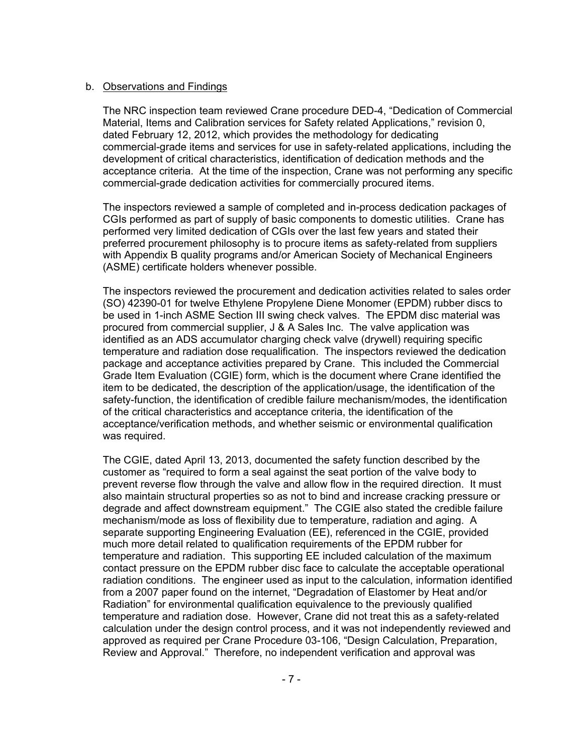#### b. Observations and Findings

The NRC inspection team reviewed Crane procedure DED-4, "Dedication of Commercial Material, Items and Calibration services for Safety related Applications," revision 0, dated February 12, 2012, which provides the methodology for dedicating commercial-grade items and services for use in safety-related applications, including the development of critical characteristics, identification of dedication methods and the acceptance criteria. At the time of the inspection, Crane was not performing any specific commercial-grade dedication activities for commercially procured items.

The inspectors reviewed a sample of completed and in-process dedication packages of CGIs performed as part of supply of basic components to domestic utilities. Crane has performed very limited dedication of CGIs over the last few years and stated their preferred procurement philosophy is to procure items as safety-related from suppliers with Appendix B quality programs and/or American Society of Mechanical Engineers (ASME) certificate holders whenever possible.

The inspectors reviewed the procurement and dedication activities related to sales order (SO) 42390-01 for twelve Ethylene Propylene Diene Monomer (EPDM) rubber discs to be used in 1-inch ASME Section III swing check valves. The EPDM disc material was procured from commercial supplier, J & A Sales Inc. The valve application was identified as an ADS accumulator charging check valve (drywell) requiring specific temperature and radiation dose requalification. The inspectors reviewed the dedication package and acceptance activities prepared by Crane. This included the Commercial Grade Item Evaluation (CGIE) form, which is the document where Crane identified the item to be dedicated, the description of the application/usage, the identification of the safety-function, the identification of credible failure mechanism/modes, the identification of the critical characteristics and acceptance criteria, the identification of the acceptance/verification methods, and whether seismic or environmental qualification was required.

The CGIE, dated April 13, 2013, documented the safety function described by the customer as "required to form a seal against the seat portion of the valve body to prevent reverse flow through the valve and allow flow in the required direction. It must also maintain structural properties so as not to bind and increase cracking pressure or degrade and affect downstream equipment." The CGIE also stated the credible failure mechanism/mode as loss of flexibility due to temperature, radiation and aging. A separate supporting Engineering Evaluation (EE), referenced in the CGIE, provided much more detail related to qualification requirements of the EPDM rubber for temperature and radiation. This supporting EE included calculation of the maximum contact pressure on the EPDM rubber disc face to calculate the acceptable operational radiation conditions. The engineer used as input to the calculation, information identified from a 2007 paper found on the internet, "Degradation of Elastomer by Heat and/or Radiation" for environmental qualification equivalence to the previously qualified temperature and radiation dose. However, Crane did not treat this as a safety-related calculation under the design control process, and it was not independently reviewed and approved as required per Crane Procedure 03-106, "Design Calculation, Preparation, Review and Approval." Therefore, no independent verification and approval was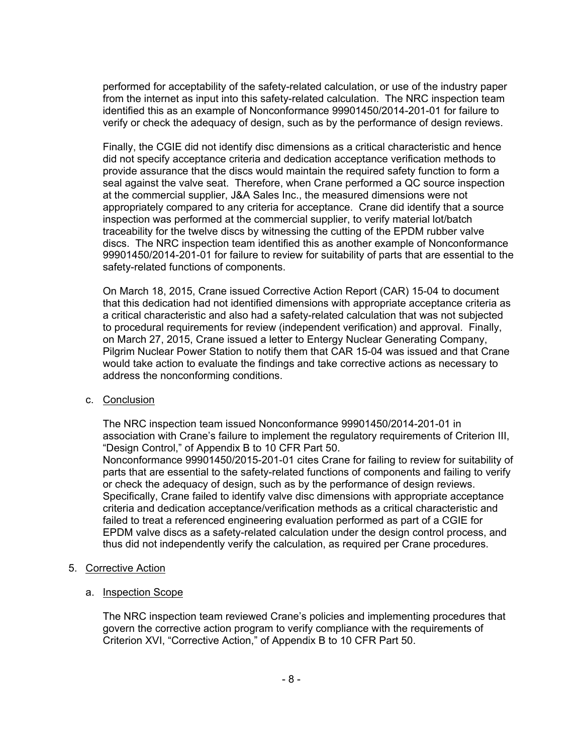performed for acceptability of the safety-related calculation, or use of the industry paper from the internet as input into this safety-related calculation. The NRC inspection team identified this as an example of Nonconformance 99901450/2014-201-01 for failure to verify or check the adequacy of design, such as by the performance of design reviews.

Finally, the CGIE did not identify disc dimensions as a critical characteristic and hence did not specify acceptance criteria and dedication acceptance verification methods to provide assurance that the discs would maintain the required safety function to form a seal against the valve seat. Therefore, when Crane performed a QC source inspection at the commercial supplier, J&A Sales Inc., the measured dimensions were not appropriately compared to any criteria for acceptance. Crane did identify that a source inspection was performed at the commercial supplier, to verify material lot/batch traceability for the twelve discs by witnessing the cutting of the EPDM rubber valve discs. The NRC inspection team identified this as another example of Nonconformance 99901450/2014-201-01 for failure to review for suitability of parts that are essential to the safety-related functions of components.

On March 18, 2015, Crane issued Corrective Action Report (CAR) 15-04 to document that this dedication had not identified dimensions with appropriate acceptance criteria as a critical characteristic and also had a safety-related calculation that was not subjected to procedural requirements for review (independent verification) and approval. Finally, on March 27, 2015, Crane issued a letter to Entergy Nuclear Generating Company, Pilgrim Nuclear Power Station to notify them that CAR 15-04 was issued and that Crane would take action to evaluate the findings and take corrective actions as necessary to address the nonconforming conditions.

c. Conclusion

The NRC inspection team issued Nonconformance 99901450/2014-201-01 in association with Crane's failure to implement the regulatory requirements of Criterion III, "Design Control," of Appendix B to 10 CFR Part 50.

Nonconformance 99901450/2015-201-01 cites Crane for failing to review for suitability of parts that are essential to the safety-related functions of components and failing to verify or check the adequacy of design, such as by the performance of design reviews. Specifically, Crane failed to identify valve disc dimensions with appropriate acceptance criteria and dedication acceptance/verification methods as a critical characteristic and failed to treat a referenced engineering evaluation performed as part of a CGIE for EPDM valve discs as a safety-related calculation under the design control process, and thus did not independently verify the calculation, as required per Crane procedures.

- 5. Corrective Action
	- a. Inspection Scope

The NRC inspection team reviewed Crane's policies and implementing procedures that govern the corrective action program to verify compliance with the requirements of Criterion XVI, "Corrective Action," of Appendix B to 10 CFR Part 50.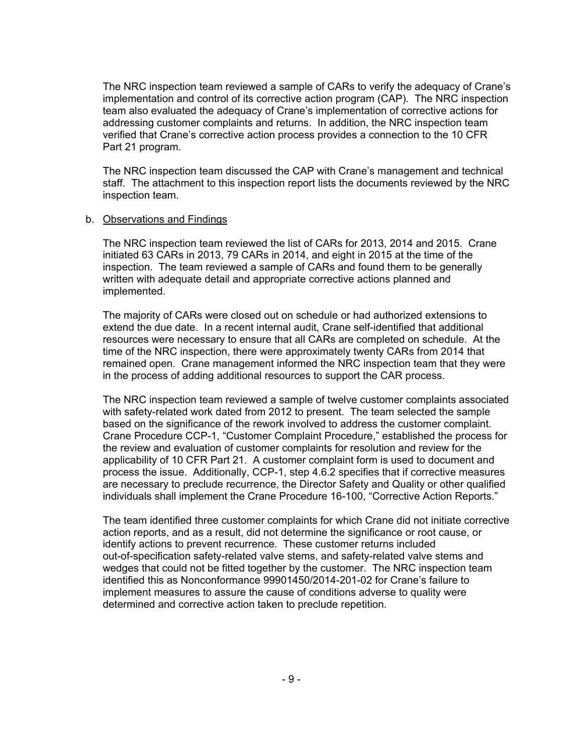The NRC inspection team reviewed a sample of CARs to verify the adequacy of Crane's implementation and control of its corrective action program (CAP). The NRC inspection team also evaluated the adequacy of Crane's implementation of corrective actions for addressing customer complaints and returns. In addition, the NRC inspection team verified that Crane's corrective action process provides a connection to the 10 CFR Part 21 program.

The NRC inspection team discussed the CAP with Crane's management and technical staff. The attachment to this inspection report lists the documents reviewed by the NRC inspection team.

#### b. Observations and Findings

The NRC inspection team reviewed the list of CARs for 2013, 2014 and 2015. Crane initiated 63 CARs in 2013, 79 CARs in 2014, and eight in 2015 at the time of the inspection. The team reviewed a sample of CARs and found them to be generally written with adequate detail and appropriate corrective actions planned and implemented.

The majority of CARs were closed out on schedule or had authorized extensions to extend the due date. In a recent internal audit, Crane self-identified that additional resources were necessary to ensure that all CARs are completed on schedule. At the time of the NRC inspection, there were approximately twenty CARs from 2014 that remained open. Crane management informed the NRC inspection team that they were in the process of adding additional resources to support the CAR process.

The NRC inspection team reviewed a sample of twelve customer complaints associated with safety-related work dated from 2012 to present. The team selected the sample based on the significance of the rework involved to address the customer complaint. Crane Procedure CCP-1, "Customer Complaint Procedure," established the process for the review and evaluation of customer complaints for resolution and review for the applicability of 10 CFR Part 21. A customer complaint form is used to document and process the issue. Additionally, CCP-1, step 4.6.2 specifies that if corrective measures are necessary to preclude recurrence, the Director Safety and Quality or other qualified individuals shall implement the Crane Procedure 16-100, "Corrective Action Reports."

The team identified three customer complaints for which Crane did not initiate corrective action reports, and as a result, did not determine the significance or root cause, or identify actions to prevent recurrence. These customer returns included out-of-specification safety-related valve stems, and safety-related valve stems and wedges that could not be fitted together by the customer. The NRC inspection team identified this as Nonconformance 99901450/2014-201-02 for Crane's failure to implement measures to assure the cause of conditions adverse to quality were determined and corrective action taken to preclude repetition.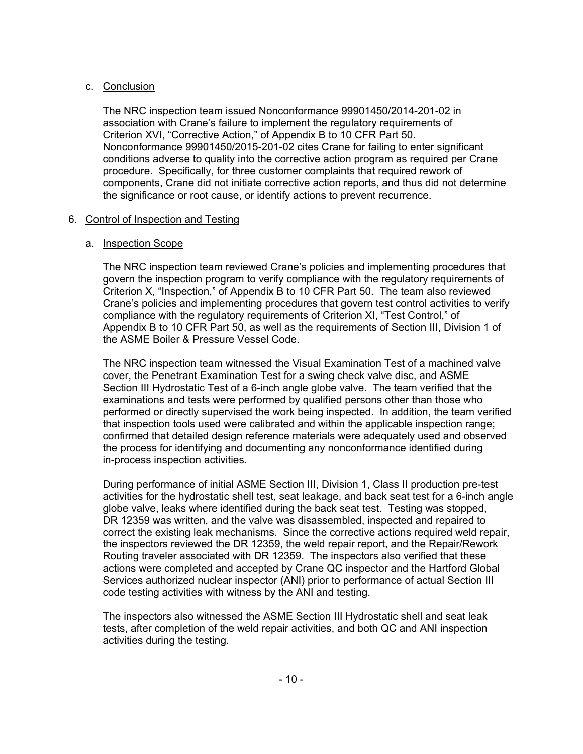# c. Conclusion

The NRC inspection team issued Nonconformance 99901450/2014-201-02 in association with Crane's failure to implement the regulatory requirements of Criterion XVI, "Corrective Action," of Appendix B to 10 CFR Part 50. Nonconformance 99901450/2015-201-02 cites Crane for failing to enter significant conditions adverse to quality into the corrective action program as required per Crane procedure. Specifically, for three customer complaints that required rework of components, Crane did not initiate corrective action reports, and thus did not determine the significance or root cause, or identify actions to prevent recurrence.

# 6. Control of Inspection and Testing

# a. Inspection Scope

The NRC inspection team reviewed Crane's policies and implementing procedures that govern the inspection program to verify compliance with the regulatory requirements of Criterion X, "Inspection," of Appendix B to 10 CFR Part 50. The team also reviewed Crane's policies and implementing procedures that govern test control activities to verify compliance with the regulatory requirements of Criterion XI, "Test Control," of Appendix B to 10 CFR Part 50, as well as the requirements of Section III, Division 1 of the ASME Boiler & Pressure Vessel Code.

The NRC inspection team witnessed the Visual Examination Test of a machined valve cover, the Penetrant Examination Test for a swing check valve disc, and ASME Section III Hydrostatic Test of a 6-inch angle globe valve. The team verified that the examinations and tests were performed by qualified persons other than those who performed or directly supervised the work being inspected. In addition, the team verified that inspection tools used were calibrated and within the applicable inspection range; confirmed that detailed design reference materials were adequately used and observed the process for identifying and documenting any nonconformance identified during in-process inspection activities.

During performance of initial ASME Section III, Division 1, Class II production pre-test activities for the hydrostatic shell test, seat leakage, and back seat test for a 6-inch angle globe valve, leaks where identified during the back seat test. Testing was stopped, DR 12359 was written, and the valve was disassembled, inspected and repaired to correct the existing leak mechanisms. Since the corrective actions required weld repair, the inspectors reviewed the DR 12359, the weld repair report, and the Repair/Rework Routing traveler associated with DR 12359. The inspectors also verified that these actions were completed and accepted by Crane QC inspector and the Hartford Global Services authorized nuclear inspector (ANI) prior to performance of actual Section III code testing activities with witness by the ANI and testing.

The inspectors also witnessed the ASME Section III Hydrostatic shell and seat leak tests, after completion of the weld repair activities, and both QC and ANI inspection activities during the testing.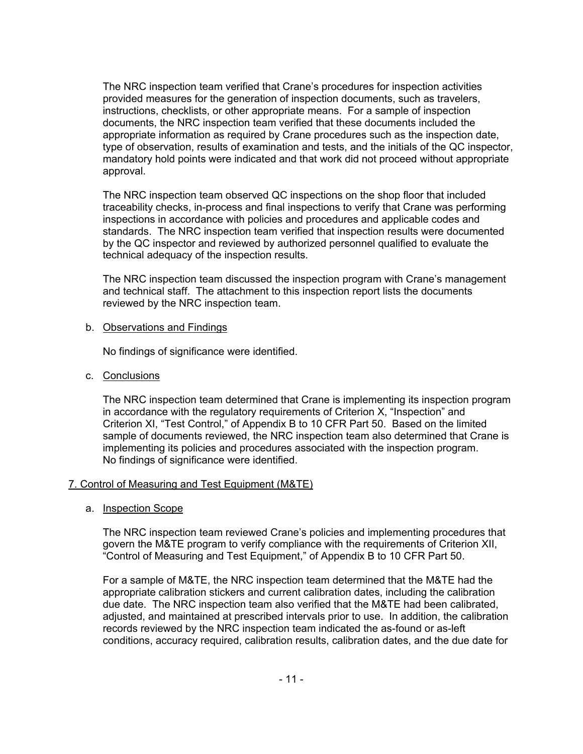The NRC inspection team verified that Crane's procedures for inspection activities provided measures for the generation of inspection documents, such as travelers, instructions, checklists, or other appropriate means. For a sample of inspection documents, the NRC inspection team verified that these documents included the appropriate information as required by Crane procedures such as the inspection date, type of observation, results of examination and tests, and the initials of the QC inspector, mandatory hold points were indicated and that work did not proceed without appropriate approval.

The NRC inspection team observed QC inspections on the shop floor that included traceability checks, in-process and final inspections to verify that Crane was performing inspections in accordance with policies and procedures and applicable codes and standards. The NRC inspection team verified that inspection results were documented by the QC inspector and reviewed by authorized personnel qualified to evaluate the technical adequacy of the inspection results.

The NRC inspection team discussed the inspection program with Crane's management and technical staff. The attachment to this inspection report lists the documents reviewed by the NRC inspection team.

#### b. Observations and Findings

No findings of significance were identified.

c. Conclusions

The NRC inspection team determined that Crane is implementing its inspection program in accordance with the regulatory requirements of Criterion X, "Inspection" and Criterion XI, "Test Control," of Appendix B to 10 CFR Part 50. Based on the limited sample of documents reviewed, the NRC inspection team also determined that Crane is implementing its policies and procedures associated with the inspection program. No findings of significance were identified.

# 7. Control of Measuring and Test Equipment (M&TE)

a. Inspection Scope

The NRC inspection team reviewed Crane's policies and implementing procedures that govern the M&TE program to verify compliance with the requirements of Criterion XII, "Control of Measuring and Test Equipment," of Appendix B to 10 CFR Part 50.

For a sample of M&TE, the NRC inspection team determined that the M&TE had the appropriate calibration stickers and current calibration dates, including the calibration due date. The NRC inspection team also verified that the M&TE had been calibrated, adjusted, and maintained at prescribed intervals prior to use. In addition, the calibration records reviewed by the NRC inspection team indicated the as-found or as-left conditions, accuracy required, calibration results, calibration dates, and the due date for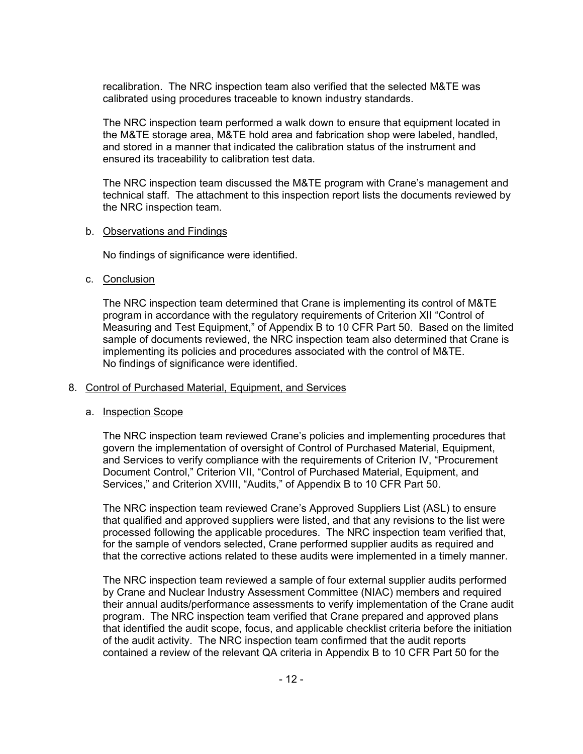recalibration. The NRC inspection team also verified that the selected M&TE was calibrated using procedures traceable to known industry standards.

The NRC inspection team performed a walk down to ensure that equipment located in the M&TE storage area, M&TE hold area and fabrication shop were labeled, handled, and stored in a manner that indicated the calibration status of the instrument and ensured its traceability to calibration test data.

The NRC inspection team discussed the M&TE program with Crane's management and technical staff. The attachment to this inspection report lists the documents reviewed by the NRC inspection team.

#### b. Observations and Findings

No findings of significance were identified.

#### c. Conclusion

The NRC inspection team determined that Crane is implementing its control of M&TE program in accordance with the regulatory requirements of Criterion XII "Control of Measuring and Test Equipment," of Appendix B to 10 CFR Part 50. Based on the limited sample of documents reviewed, the NRC inspection team also determined that Crane is implementing its policies and procedures associated with the control of M&TE. No findings of significance were identified.

# 8. Control of Purchased Material, Equipment, and Services

# a. Inspection Scope

The NRC inspection team reviewed Crane's policies and implementing procedures that govern the implementation of oversight of Control of Purchased Material, Equipment, and Services to verify compliance with the requirements of Criterion IV, "Procurement Document Control," Criterion VII, "Control of Purchased Material, Equipment, and Services," and Criterion XVIII, "Audits," of Appendix B to 10 CFR Part 50.

The NRC inspection team reviewed Crane's Approved Suppliers List (ASL) to ensure that qualified and approved suppliers were listed, and that any revisions to the list were processed following the applicable procedures. The NRC inspection team verified that, for the sample of vendors selected, Crane performed supplier audits as required and that the corrective actions related to these audits were implemented in a timely manner.

The NRC inspection team reviewed a sample of four external supplier audits performed by Crane and Nuclear Industry Assessment Committee (NIAC) members and required their annual audits/performance assessments to verify implementation of the Crane audit program. The NRC inspection team verified that Crane prepared and approved plans that identified the audit scope, focus, and applicable checklist criteria before the initiation of the audit activity. The NRC inspection team confirmed that the audit reports contained a review of the relevant QA criteria in Appendix B to 10 CFR Part 50 for the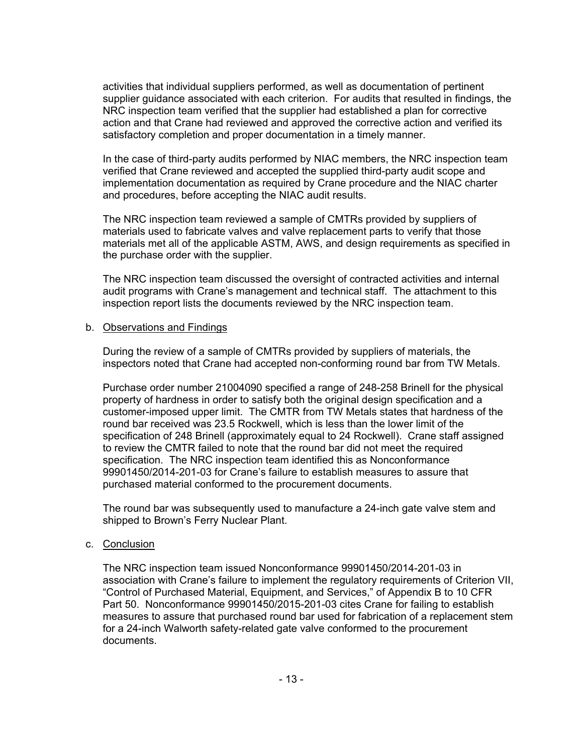activities that individual suppliers performed, as well as documentation of pertinent supplier guidance associated with each criterion. For audits that resulted in findings, the NRC inspection team verified that the supplier had established a plan for corrective action and that Crane had reviewed and approved the corrective action and verified its satisfactory completion and proper documentation in a timely manner.

In the case of third-party audits performed by NIAC members, the NRC inspection team verified that Crane reviewed and accepted the supplied third-party audit scope and implementation documentation as required by Crane procedure and the NIAC charter and procedures, before accepting the NIAC audit results.

The NRC inspection team reviewed a sample of CMTRs provided by suppliers of materials used to fabricate valves and valve replacement parts to verify that those materials met all of the applicable ASTM, AWS, and design requirements as specified in the purchase order with the supplier.

The NRC inspection team discussed the oversight of contracted activities and internal audit programs with Crane's management and technical staff. The attachment to this inspection report lists the documents reviewed by the NRC inspection team.

#### b. Observations and Findings

During the review of a sample of CMTRs provided by suppliers of materials, the inspectors noted that Crane had accepted non-conforming round bar from TW Metals.

Purchase order number 21004090 specified a range of 248-258 Brinell for the physical property of hardness in order to satisfy both the original design specification and a customer-imposed upper limit. The CMTR from TW Metals states that hardness of the round bar received was 23.5 Rockwell, which is less than the lower limit of the specification of 248 Brinell (approximately equal to 24 Rockwell). Crane staff assigned to review the CMTR failed to note that the round bar did not meet the required specification. The NRC inspection team identified this as Nonconformance 99901450/2014-201-03 for Crane's failure to establish measures to assure that purchased material conformed to the procurement documents.

The round bar was subsequently used to manufacture a 24-inch gate valve stem and shipped to Brown's Ferry Nuclear Plant.

# c. Conclusion

The NRC inspection team issued Nonconformance 99901450/2014-201-03 in association with Crane's failure to implement the regulatory requirements of Criterion VII, "Control of Purchased Material, Equipment, and Services," of Appendix B to 10 CFR Part 50. Nonconformance 99901450/2015-201-03 cites Crane for failing to establish measures to assure that purchased round bar used for fabrication of a replacement stem for a 24-inch Walworth safety-related gate valve conformed to the procurement documents.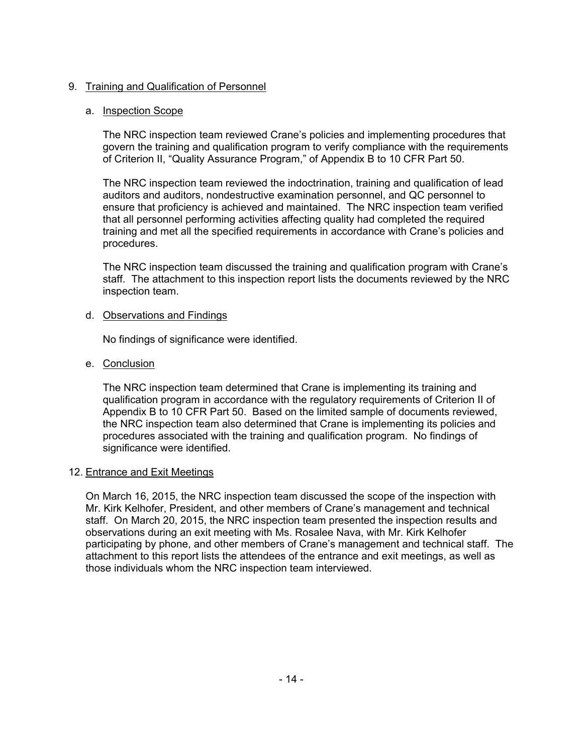# 9. Training and Qualification of Personnel

# a. Inspection Scope

The NRC inspection team reviewed Crane's policies and implementing procedures that govern the training and qualification program to verify compliance with the requirements of Criterion II, "Quality Assurance Program," of Appendix B to 10 CFR Part 50.

The NRC inspection team reviewed the indoctrination, training and qualification of lead auditors and auditors, nondestructive examination personnel, and QC personnel to ensure that proficiency is achieved and maintained. The NRC inspection team verified that all personnel performing activities affecting quality had completed the required training and met all the specified requirements in accordance with Crane's policies and procedures.

The NRC inspection team discussed the training and qualification program with Crane's staff. The attachment to this inspection report lists the documents reviewed by the NRC inspection team.

# d. Observations and Findings

No findings of significance were identified.

# e. Conclusion

The NRC inspection team determined that Crane is implementing its training and qualification program in accordance with the regulatory requirements of Criterion II of Appendix B to 10 CFR Part 50. Based on the limited sample of documents reviewed, the NRC inspection team also determined that Crane is implementing its policies and procedures associated with the training and qualification program. No findings of significance were identified.

# 12. Entrance and Exit Meetings

On March 16, 2015, the NRC inspection team discussed the scope of the inspection with Mr. Kirk Kelhofer, President, and other members of Crane's management and technical staff. On March 20, 2015, the NRC inspection team presented the inspection results and observations during an exit meeting with Ms. Rosalee Nava, with Mr. Kirk Kelhofer participating by phone, and other members of Crane's management and technical staff. The attachment to this report lists the attendees of the entrance and exit meetings, as well as those individuals whom the NRC inspection team interviewed.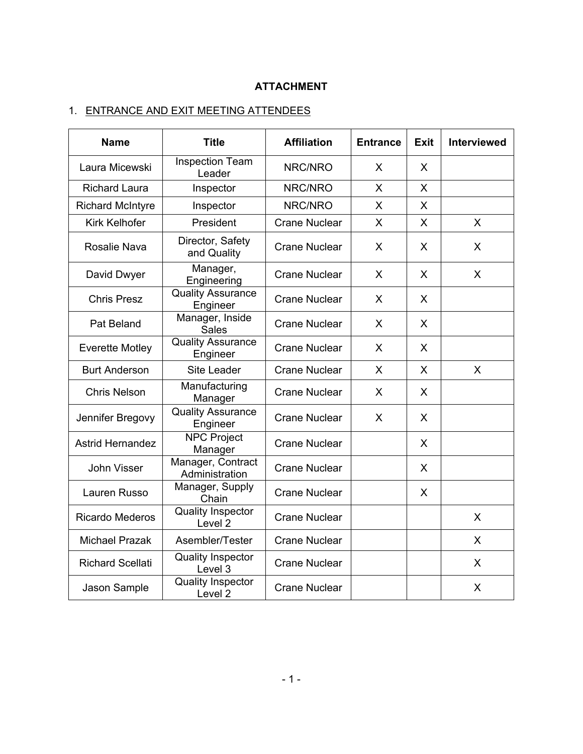# **ATTACHMENT**

# 1. ENTRANCE AND EXIT MEETING ATTENDEES

| <b>Name</b>             | <b>Title</b>                                   | <b>Affiliation</b>   | <b>Entrance</b> | Exit | <b>Interviewed</b> |
|-------------------------|------------------------------------------------|----------------------|-----------------|------|--------------------|
| Laura Micewski          | <b>Inspection Team</b><br>Leader               | NRC/NRO              | X               | X    |                    |
| <b>Richard Laura</b>    | Inspector                                      | NRC/NRO              | X               | X    |                    |
| <b>Richard McIntyre</b> | Inspector                                      | NRC/NRO              | X               | X    |                    |
| <b>Kirk Kelhofer</b>    | President                                      | <b>Crane Nuclear</b> | X               | X    | X                  |
| Rosalie Nava            | Director, Safety<br>and Quality                | <b>Crane Nuclear</b> | X               | X    | X                  |
| David Dwyer             | Manager,<br>Engineering                        | <b>Crane Nuclear</b> | X               | X    | X                  |
| <b>Chris Presz</b>      | <b>Quality Assurance</b><br>Engineer           | <b>Crane Nuclear</b> | X               | X    |                    |
| Pat Beland              | Manager, Inside<br><b>Sales</b>                | <b>Crane Nuclear</b> | X               | X    |                    |
| <b>Everette Motley</b>  | <b>Quality Assurance</b><br>Engineer           | <b>Crane Nuclear</b> | X               | X    |                    |
| <b>Burt Anderson</b>    | Site Leader                                    | <b>Crane Nuclear</b> | X               | X    | X                  |
| <b>Chris Nelson</b>     | Manufacturing<br>Manager                       | <b>Crane Nuclear</b> | X               | X    |                    |
| Jennifer Bregovy        | <b>Quality Assurance</b><br>Engineer           | <b>Crane Nuclear</b> | X               | X    |                    |
| <b>Astrid Hernandez</b> | <b>NPC Project</b><br>Manager                  | <b>Crane Nuclear</b> |                 | X    |                    |
| John Visser             | Manager, Contract<br>Administration            | <b>Crane Nuclear</b> |                 | X    |                    |
| Lauren Russo            | Manager, Supply<br>Chain                       | <b>Crane Nuclear</b> |                 | X    |                    |
| <b>Ricardo Mederos</b>  | <b>Quality Inspector</b><br>Level <sub>2</sub> | <b>Crane Nuclear</b> |                 |      | X                  |
| <b>Michael Prazak</b>   | Asembler/Tester                                | <b>Crane Nuclear</b> |                 |      | X                  |
| <b>Richard Scellati</b> | <b>Quality Inspector</b><br>Level 3            | <b>Crane Nuclear</b> |                 |      | X                  |
| Jason Sample            | <b>Quality Inspector</b><br>Level <sub>2</sub> | <b>Crane Nuclear</b> |                 |      | X                  |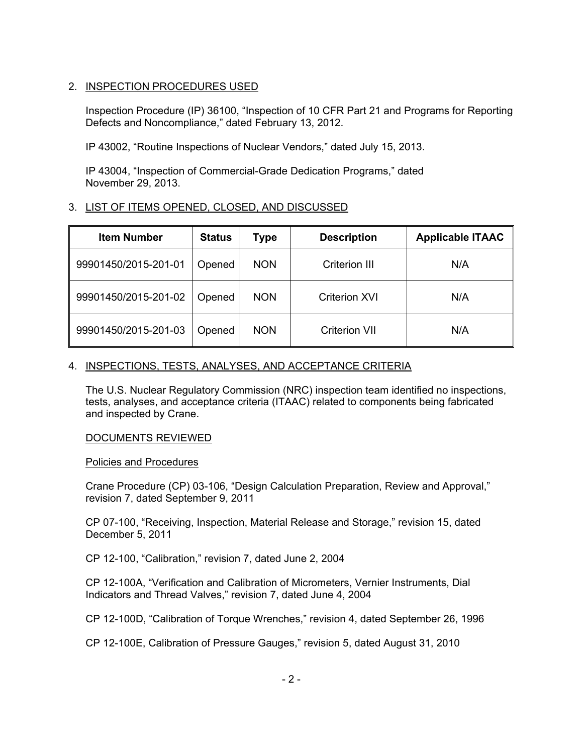# 2. INSPECTION PROCEDURES USED

Inspection Procedure (IP) 36100, "Inspection of 10 CFR Part 21 and Programs for Reporting Defects and Noncompliance," dated February 13, 2012.

IP 43002, "Routine Inspections of Nuclear Vendors," dated July 15, 2013.

IP 43004, "Inspection of Commercial-Grade Dedication Programs," dated November 29, 2013.

# 3. LIST OF ITEMS OPENED, CLOSED, AND DISCUSSED

| <b>Item Number</b>   | <b>Status</b> | <b>Type</b> | <b>Description</b>   | <b>Applicable ITAAC</b> |
|----------------------|---------------|-------------|----------------------|-------------------------|
| 99901450/2015-201-01 | Opened        | <b>NON</b>  | Criterion III        | N/A                     |
| 99901450/2015-201-02 | Opened        | <b>NON</b>  | <b>Criterion XVI</b> | N/A                     |
| 99901450/2015-201-03 | Opened        | <b>NON</b>  | <b>Criterion VII</b> | N/A                     |

# 4. INSPECTIONS, TESTS, ANALYSES, AND ACCEPTANCE CRITERIA

The U.S. Nuclear Regulatory Commission (NRC) inspection team identified no inspections, tests, analyses, and acceptance criteria (ITAAC) related to components being fabricated and inspected by Crane.

# DOCUMENTS REVIEWED

# Policies and Procedures

Crane Procedure (CP) 03-106, "Design Calculation Preparation, Review and Approval," revision 7, dated September 9, 2011

CP 07-100, "Receiving, Inspection, Material Release and Storage," revision 15, dated December 5, 2011

CP 12-100, "Calibration," revision 7, dated June 2, 2004

CP 12-100A, "Verification and Calibration of Micrometers, Vernier Instruments, Dial Indicators and Thread Valves," revision 7, dated June 4, 2004

CP 12-100D, "Calibration of Torque Wrenches," revision 4, dated September 26, 1996

CP 12-100E, Calibration of Pressure Gauges," revision 5, dated August 31, 2010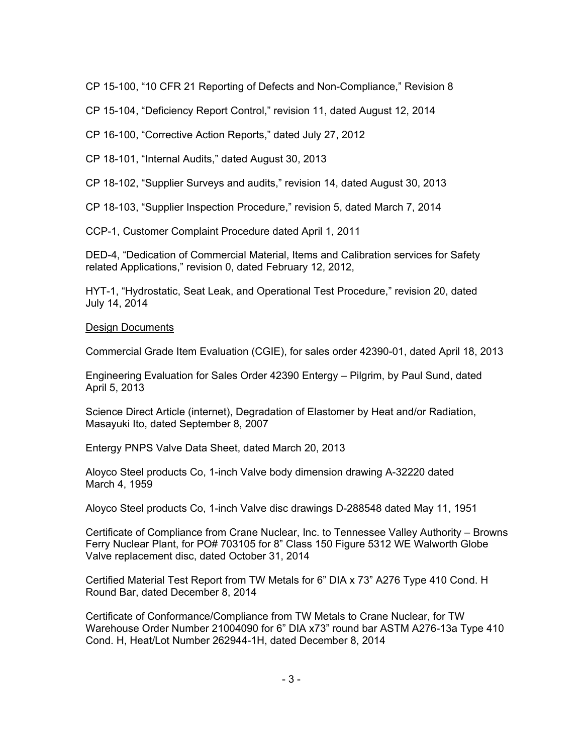CP 15-100, "10 CFR 21 Reporting of Defects and Non-Compliance," Revision 8

CP 15-104, "Deficiency Report Control," revision 11, dated August 12, 2014

CP 16-100, "Corrective Action Reports," dated July 27, 2012

CP 18-101, "Internal Audits," dated August 30, 2013

CP 18-102, "Supplier Surveys and audits," revision 14, dated August 30, 2013

CP 18-103, "Supplier Inspection Procedure," revision 5, dated March 7, 2014

CCP-1, Customer Complaint Procedure dated April 1, 2011

DED-4, "Dedication of Commercial Material, Items and Calibration services for Safety related Applications," revision 0, dated February 12, 2012,

HYT-1, "Hydrostatic, Seat Leak, and Operational Test Procedure," revision 20, dated July 14, 2014

# Design Documents

Commercial Grade Item Evaluation (CGIE), for sales order 42390-01, dated April 18, 2013

Engineering Evaluation for Sales Order 42390 Entergy – Pilgrim, by Paul Sund, dated April 5, 2013

Science Direct Article (internet), Degradation of Elastomer by Heat and/or Radiation, Masayuki Ito, dated September 8, 2007

Entergy PNPS Valve Data Sheet, dated March 20, 2013

Aloyco Steel products Co, 1-inch Valve body dimension drawing A-32220 dated March 4, 1959

Aloyco Steel products Co, 1-inch Valve disc drawings D-288548 dated May 11, 1951

Certificate of Compliance from Crane Nuclear, Inc. to Tennessee Valley Authority – Browns Ferry Nuclear Plant, for PO# 703105 for 8" Class 150 Figure 5312 WE Walworth Globe Valve replacement disc, dated October 31, 2014

Certified Material Test Report from TW Metals for 6" DIA x 73" A276 Type 410 Cond. H Round Bar, dated December 8, 2014

Certificate of Conformance/Compliance from TW Metals to Crane Nuclear, for TW Warehouse Order Number 21004090 for 6" DIA x73" round bar ASTM A276-13a Type 410 Cond. H, Heat/Lot Number 262944-1H, dated December 8, 2014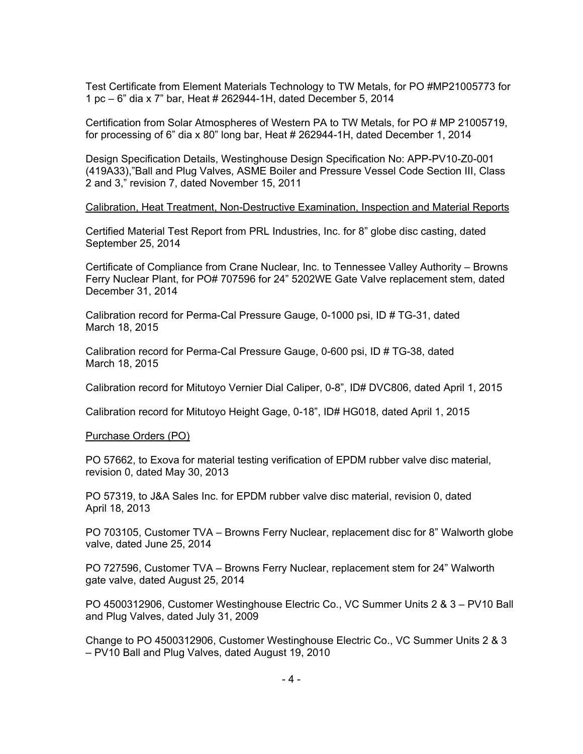Test Certificate from Element Materials Technology to TW Metals, for PO #MP21005773 for 1 pc – 6" dia x 7" bar, Heat # 262944-1H, dated December 5, 2014

Certification from Solar Atmospheres of Western PA to TW Metals, for PO # MP 21005719, for processing of 6" dia x 80" long bar, Heat # 262944-1H, dated December 1, 2014

Design Specification Details, Westinghouse Design Specification No: APP-PV10-Z0-001 (419A33),"Ball and Plug Valves, ASME Boiler and Pressure Vessel Code Section III, Class 2 and 3," revision 7, dated November 15, 2011

#### Calibration, Heat Treatment, Non-Destructive Examination, Inspection and Material Reports

Certified Material Test Report from PRL Industries, Inc. for 8" globe disc casting, dated September 25, 2014

Certificate of Compliance from Crane Nuclear, Inc. to Tennessee Valley Authority – Browns Ferry Nuclear Plant, for PO# 707596 for 24" 5202WE Gate Valve replacement stem, dated December 31, 2014

Calibration record for Perma-Cal Pressure Gauge, 0-1000 psi, ID # TG-31, dated March 18, 2015

Calibration record for Perma-Cal Pressure Gauge, 0-600 psi, ID # TG-38, dated March 18, 2015

Calibration record for Mitutoyo Vernier Dial Caliper, 0-8", ID# DVC806, dated April 1, 2015

Calibration record for Mitutoyo Height Gage, 0-18", ID# HG018, dated April 1, 2015

#### Purchase Orders (PO)

PO 57662, to Exova for material testing verification of EPDM rubber valve disc material, revision 0, dated May 30, 2013

PO 57319, to J&A Sales Inc. for EPDM rubber valve disc material, revision 0, dated April 18, 2013

PO 703105, Customer TVA – Browns Ferry Nuclear, replacement disc for 8" Walworth globe valve, dated June 25, 2014

PO 727596, Customer TVA – Browns Ferry Nuclear, replacement stem for 24" Walworth gate valve, dated August 25, 2014

PO 4500312906, Customer Westinghouse Electric Co., VC Summer Units 2 & 3 – PV10 Ball and Plug Valves, dated July 31, 2009

Change to PO 4500312906, Customer Westinghouse Electric Co., VC Summer Units 2 & 3 – PV10 Ball and Plug Valves, dated August 19, 2010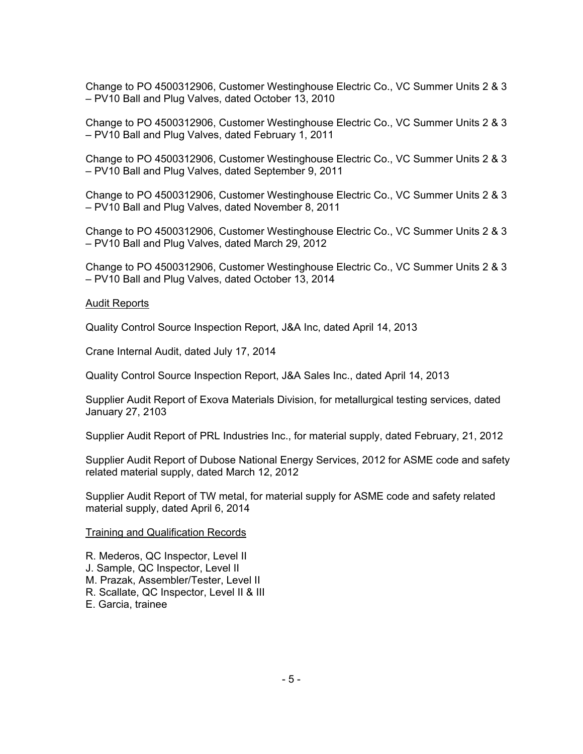Change to PO 4500312906, Customer Westinghouse Electric Co., VC Summer Units 2 & 3 – PV10 Ball and Plug Valves, dated October 13, 2010

Change to PO 4500312906, Customer Westinghouse Electric Co., VC Summer Units 2 & 3 – PV10 Ball and Plug Valves, dated February 1, 2011

Change to PO 4500312906, Customer Westinghouse Electric Co., VC Summer Units 2 & 3 – PV10 Ball and Plug Valves, dated September 9, 2011

Change to PO 4500312906, Customer Westinghouse Electric Co., VC Summer Units 2 & 3 – PV10 Ball and Plug Valves, dated November 8, 2011

Change to PO 4500312906, Customer Westinghouse Electric Co., VC Summer Units 2 & 3 – PV10 Ball and Plug Valves, dated March 29, 2012

Change to PO 4500312906, Customer Westinghouse Electric Co., VC Summer Units 2 & 3 – PV10 Ball and Plug Valves, dated October 13, 2014

#### Audit Reports

Quality Control Source Inspection Report, J&A Inc, dated April 14, 2013

Crane Internal Audit, dated July 17, 2014

Quality Control Source Inspection Report, J&A Sales Inc., dated April 14, 2013

Supplier Audit Report of Exova Materials Division, for metallurgical testing services, dated January 27, 2103

Supplier Audit Report of PRL Industries Inc., for material supply, dated February, 21, 2012

Supplier Audit Report of Dubose National Energy Services, 2012 for ASME code and safety related material supply, dated March 12, 2012

Supplier Audit Report of TW metal, for material supply for ASME code and safety related material supply, dated April 6, 2014

#### Training and Qualification Records

- R. Mederos, QC Inspector, Level II
- J. Sample, QC Inspector, Level II
- M. Prazak, Assembler/Tester, Level II
- R. Scallate, QC Inspector, Level II & III
- E. Garcia, trainee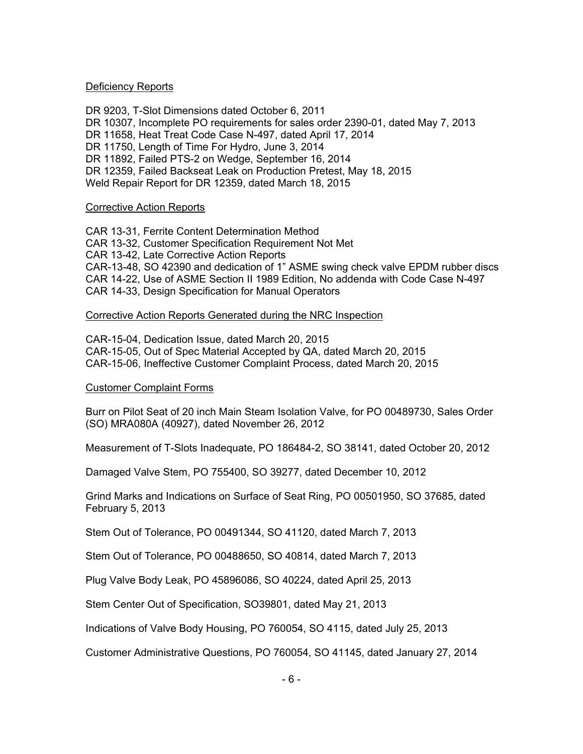#### Deficiency Reports

DR 9203, T-Slot Dimensions dated October 6, 2011 DR 10307, Incomplete PO requirements for sales order 2390-01, dated May 7, 2013 DR 11658, Heat Treat Code Case N-497, dated April 17, 2014 DR 11750, Length of Time For Hydro, June 3, 2014 DR 11892, Failed PTS-2 on Wedge, September 16, 2014 DR 12359, Failed Backseat Leak on Production Pretest, May 18, 2015 Weld Repair Report for DR 12359, dated March 18, 2015

#### Corrective Action Reports

CAR 13-31, Ferrite Content Determination Method CAR 13-32, Customer Specification Requirement Not Met CAR 13-42, Late Corrective Action Reports CAR-13-48, SO 42390 and dedication of 1" ASME swing check valve EPDM rubber discs CAR 14-22, Use of ASME Section II 1989 Edition, No addenda with Code Case N-497 CAR 14-33, Design Specification for Manual Operators

#### Corrective Action Reports Generated during the NRC Inspection

CAR-15-04, Dedication Issue, dated March 20, 2015 CAR-15-05, Out of Spec Material Accepted by QA, dated March 20, 2015 CAR-15-06, Ineffective Customer Complaint Process, dated March 20, 2015

# Customer Complaint Forms

Burr on Pilot Seat of 20 inch Main Steam Isolation Valve, for PO 00489730, Sales Order (SO) MRA080A (40927), dated November 26, 2012

Measurement of T-Slots Inadequate, PO 186484-2, SO 38141, dated October 20, 2012

Damaged Valve Stem, PO 755400, SO 39277, dated December 10, 2012

Grind Marks and Indications on Surface of Seat Ring, PO 00501950, SO 37685, dated February 5, 2013

Stem Out of Tolerance, PO 00491344, SO 41120, dated March 7, 2013

Stem Out of Tolerance, PO 00488650, SO 40814, dated March 7, 2013

Plug Valve Body Leak, PO 45896086, SO 40224, dated April 25, 2013

Stem Center Out of Specification, SO39801, dated May 21, 2013

Indications of Valve Body Housing, PO 760054, SO 4115, dated July 25, 2013

Customer Administrative Questions, PO 760054, SO 41145, dated January 27, 2014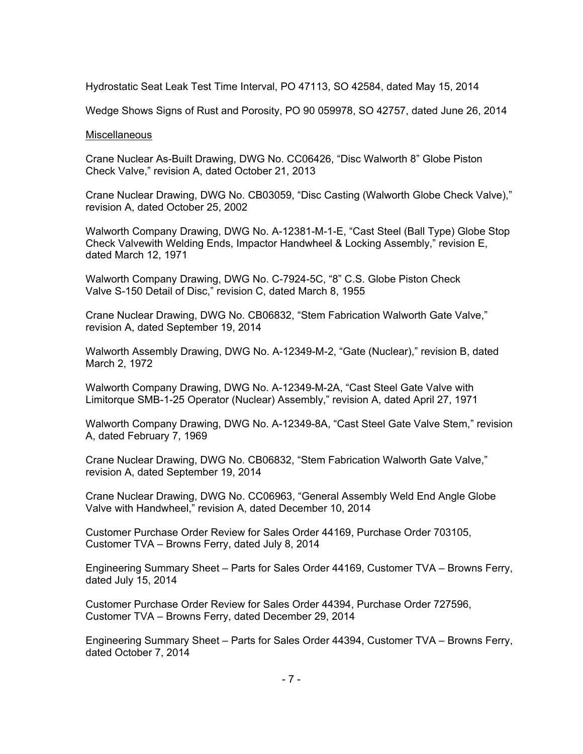Hydrostatic Seat Leak Test Time Interval, PO 47113, SO 42584, dated May 15, 2014

Wedge Shows Signs of Rust and Porosity, PO 90 059978, SO 42757, dated June 26, 2014

#### **Miscellaneous**

Crane Nuclear As-Built Drawing, DWG No. CC06426, "Disc Walworth 8" Globe Piston Check Valve," revision A, dated October 21, 2013

Crane Nuclear Drawing, DWG No. CB03059, "Disc Casting (Walworth Globe Check Valve)," revision A, dated October 25, 2002

Walworth Company Drawing, DWG No. A-12381-M-1-E, "Cast Steel (Ball Type) Globe Stop Check Valvewith Welding Ends, Impactor Handwheel & Locking Assembly," revision E, dated March 12, 1971

Walworth Company Drawing, DWG No. C-7924-5C, "8" C.S. Globe Piston Check Valve S-150 Detail of Disc," revision C, dated March 8, 1955

Crane Nuclear Drawing, DWG No. CB06832, "Stem Fabrication Walworth Gate Valve," revision A, dated September 19, 2014

Walworth Assembly Drawing, DWG No. A-12349-M-2, "Gate (Nuclear)," revision B, dated March 2, 1972

Walworth Company Drawing, DWG No. A-12349-M-2A, "Cast Steel Gate Valve with Limitorque SMB-1-25 Operator (Nuclear) Assembly," revision A, dated April 27, 1971

Walworth Company Drawing, DWG No. A-12349-8A, "Cast Steel Gate Valve Stem," revision A, dated February 7, 1969

Crane Nuclear Drawing, DWG No. CB06832, "Stem Fabrication Walworth Gate Valve," revision A, dated September 19, 2014

Crane Nuclear Drawing, DWG No. CC06963, "General Assembly Weld End Angle Globe Valve with Handwheel," revision A, dated December 10, 2014

Customer Purchase Order Review for Sales Order 44169, Purchase Order 703105, Customer TVA – Browns Ferry, dated July 8, 2014

Engineering Summary Sheet – Parts for Sales Order 44169, Customer TVA – Browns Ferry, dated July 15, 2014

Customer Purchase Order Review for Sales Order 44394, Purchase Order 727596, Customer TVA – Browns Ferry, dated December 29, 2014

Engineering Summary Sheet – Parts for Sales Order 44394, Customer TVA – Browns Ferry, dated October 7, 2014